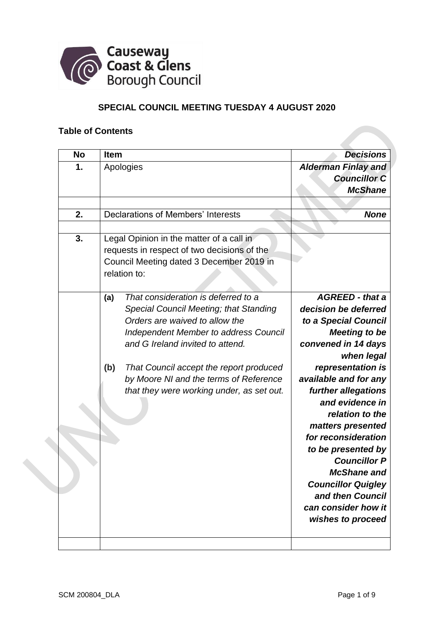

# **SPECIAL COUNCIL MEETING TUESDAY 4 AUGUST 2020**

#### **Table of Contents**

| <b>No</b><br><b>Item</b> |                                                                                                                                                                                                                                                                                                                                                                                                                                                                                              | <b>Decisions</b>                                                                                                                                                                                                                                                                                                                                                                                                                                           |
|--------------------------|----------------------------------------------------------------------------------------------------------------------------------------------------------------------------------------------------------------------------------------------------------------------------------------------------------------------------------------------------------------------------------------------------------------------------------------------------------------------------------------------|------------------------------------------------------------------------------------------------------------------------------------------------------------------------------------------------------------------------------------------------------------------------------------------------------------------------------------------------------------------------------------------------------------------------------------------------------------|
| 1.                       | Apologies                                                                                                                                                                                                                                                                                                                                                                                                                                                                                    | <b>Alderman Finlay and</b><br><b>Councillor C</b><br><b>McShane</b>                                                                                                                                                                                                                                                                                                                                                                                        |
| 2.                       | <b>Declarations of Members' Interests</b>                                                                                                                                                                                                                                                                                                                                                                                                                                                    | <b>None</b>                                                                                                                                                                                                                                                                                                                                                                                                                                                |
| 3.<br>(a)<br>(b)         | Legal Opinion in the matter of a call in<br>requests in respect of two decisions of the<br>Council Meeting dated 3 December 2019 in<br>relation to:<br>That consideration is deferred to a<br>Special Council Meeting; that Standing<br>Orders are waived to allow the<br><b>Independent Member to address Council</b><br>and G Ireland invited to attend.<br>That Council accept the report produced<br>by Moore NI and the terms of Reference<br>that they were working under, as set out. | <b>AGREED</b> - that a<br>decision be deferred<br>to a Special Council<br><b>Meeting to be</b><br>convened in 14 days<br>when legal<br>representation is<br>available and for any<br>further allegations<br>and evidence in<br>relation to the<br>matters presented<br>for reconsideration<br>to be presented by<br><b>Councillor P</b><br><b>McShane and</b><br><b>Councillor Quigley</b><br>and then Council<br>can consider how it<br>wishes to proceed |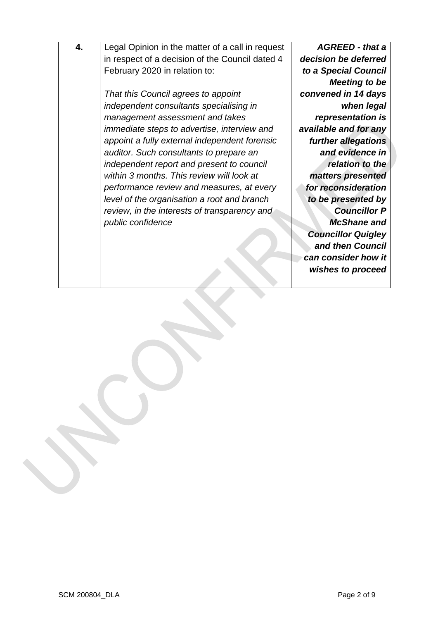| 4. | Legal Opinion in the matter of a call in request | <b>AGREED - that a</b>    |
|----|--------------------------------------------------|---------------------------|
|    | in respect of a decision of the Council dated 4  | decision be deferred      |
|    |                                                  |                           |
|    | February 2020 in relation to:                    | to a Special Council      |
|    |                                                  | <b>Meeting to be</b>      |
|    | That this Council agrees to appoint              | convened in 14 days       |
|    | independent consultants specialising in          | when legal                |
|    | management assessment and takes                  | representation is         |
|    | immediate steps to advertise, interview and      | available and for any     |
|    | appoint a fully external independent forensic    | further allegations       |
|    | auditor. Such consultants to prepare an          | and evidence in           |
|    | independent report and present to council        | relation to the           |
|    | within 3 months. This review will look at        | matters presented         |
|    | performance review and measures, at every        | for reconsideration       |
|    | level of the organisation a root and branch      | to be presented by        |
|    | review, in the interests of transparency and     | <b>Councillor P</b>       |
|    | public confidence                                | <b>McShane and</b>        |
|    |                                                  | <b>Councillor Quigley</b> |
|    |                                                  | and then Council          |
|    |                                                  | can consider how it       |
|    |                                                  | wishes to proceed         |
|    |                                                  |                           |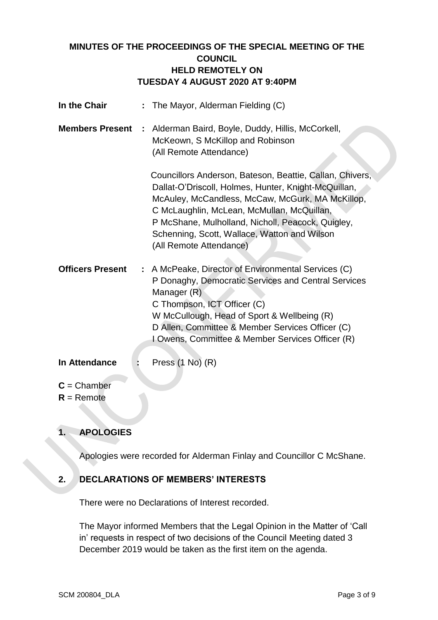## **MINUTES OF THE PROCEEDINGS OF THE SPECIAL MEETING OF THE COUNCIL HELD REMOTELY ON TUESDAY 4 AUGUST 2020 AT 9:40PM**

| In the Chair            | : The Mayor, Alderman Fielding (C)                                                                                                                                                                                                                                                                                                                 |
|-------------------------|----------------------------------------------------------------------------------------------------------------------------------------------------------------------------------------------------------------------------------------------------------------------------------------------------------------------------------------------------|
| <b>Members Present</b>  | Alderman Baird, Boyle, Duddy, Hillis, McCorkell,<br>÷<br>McKeown, S McKillop and Robinson<br>(All Remote Attendance)                                                                                                                                                                                                                               |
|                         | Councillors Anderson, Bateson, Beattie, Callan, Chivers,<br>Dallat-O'Driscoll, Holmes, Hunter, Knight-McQuillan,<br>McAuley, McCandless, McCaw, McGurk, MA McKillop,<br>C McLaughlin, McLean, McMullan, McQuillan,<br>P McShane, Mulholland, Nicholl, Peacock, Quigley,<br>Schenning, Scott, Wallace, Watton and Wilson<br>(All Remote Attendance) |
| <b>Officers Present</b> | : A McPeake, Director of Environmental Services (C)<br>P Donaghy, Democratic Services and Central Services<br>Manager (R)<br>C Thompson, ICT Officer (C)<br>W McCullough, Head of Sport & Wellbeing (R)<br>D Allen, Committee & Member Services Officer (C)<br>I Owens, Committee & Member Services Officer (R)                                    |

### **In Attendance :** Press (1 No) (R)

- **C** = Chamber
- **R** = Remote

# **1. APOLOGIES**

Apologies were recorded for Alderman Finlay and Councillor C McShane.

## **2. DECLARATIONS OF MEMBERS' INTERESTS**

There were no Declarations of Interest recorded.

The Mayor informed Members that the Legal Opinion in the Matter of 'Call in' requests in respect of two decisions of the Council Meeting dated 3 December 2019 would be taken as the first item on the agenda.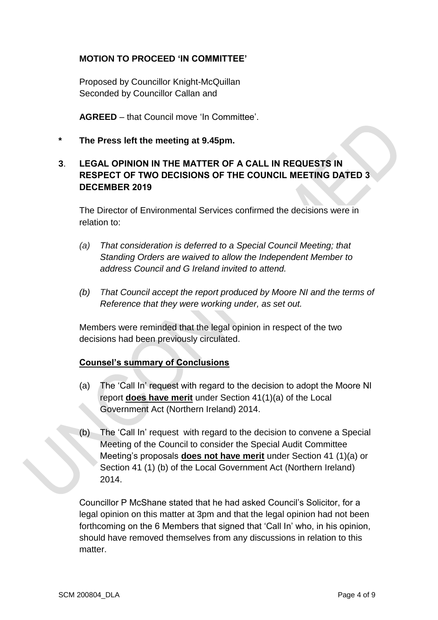#### **MOTION TO PROCEED 'IN COMMITTEE'**

Proposed by Councillor Knight-McQuillan Seconded by Councillor Callan and

**AGREED** – that Council move 'In Committee'.

**\* The Press left the meeting at 9.45pm.**

## **3**. **LEGAL OPINION IN THE MATTER OF A CALL IN REQUESTS IN RESPECT OF TWO DECISIONS OF THE COUNCIL MEETING DATED 3 DECEMBER 2019**

The Director of Environmental Services confirmed the decisions were in relation to:

- *(a) That consideration is deferred to a Special Council Meeting; that Standing Orders are waived to allow the Independent Member to address Council and G Ireland invited to attend.*
- *(b) That Council accept the report produced by Moore NI and the terms of Reference that they were working under, as set out.*

Members were reminded that the legal opinion in respect of the two decisions had been previously circulated.

### **Counsel's summary of Conclusions**

- (a) The 'Call In' request with regard to the decision to adopt the Moore NI report **does have merit** under Section 41(1)(a) of the Local Government Act (Northern Ireland) 2014.
- (b) The 'Call In' request with regard to the decision to convene a Special Meeting of the Council to consider the Special Audit Committee Meeting's proposals **does not have merit** under Section 41 (1)(a) or Section 41 (1) (b) of the Local Government Act (Northern Ireland) 2014.

Councillor P McShane stated that he had asked Council's Solicitor, for a legal opinion on this matter at 3pm and that the legal opinion had not been forthcoming on the 6 Members that signed that 'Call In' who, in his opinion, should have removed themselves from any discussions in relation to this matter.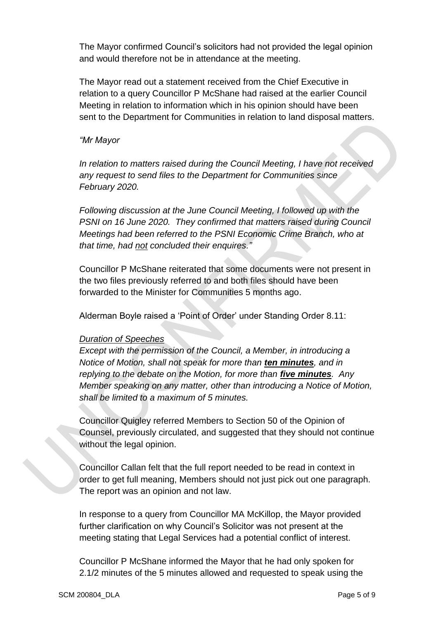The Mayor confirmed Council's solicitors had not provided the legal opinion and would therefore not be in attendance at the meeting.

The Mayor read out a statement received from the Chief Executive in relation to a query Councillor P McShane had raised at the earlier Council Meeting in relation to information which in his opinion should have been sent to the Department for Communities in relation to land disposal matters.

#### *"Mr Mayor*

*In relation to matters raised during the Council Meeting, I have not received any request to send files to the Department for Communities since February 2020.*

*Following discussion at the June Council Meeting, I followed up with the PSNI on 16 June 2020. They confirmed that matters raised during Council Meetings had been referred to the PSNI Economic Crime Branch, who at that time, had not concluded their enquires."*

Councillor P McShane reiterated that some documents were not present in the two files previously referred to and both files should have been forwarded to the Minister for Communities 5 months ago.

Alderman Boyle raised a 'Point of Order' under Standing Order 8.11:

#### *Duration of Speeches*

*Except with the permission of the Council, a Member, in introducing a Notice of Motion, shall not speak for more than ten minutes, and in replying to the debate on the Motion, for more than five minutes. Any Member speaking on any matter, other than introducing a Notice of Motion, shall be limited to a maximum of 5 minutes.*

Councillor Quigley referred Members to Section 50 of the Opinion of Counsel, previously circulated, and suggested that they should not continue without the legal opinion.

Councillor Callan felt that the full report needed to be read in context in order to get full meaning, Members should not just pick out one paragraph. The report was an opinion and not law.

In response to a query from Councillor MA McKillop, the Mayor provided further clarification on why Council's Solicitor was not present at the meeting stating that Legal Services had a potential conflict of interest.

Councillor P McShane informed the Mayor that he had only spoken for 2.1/2 minutes of the 5 minutes allowed and requested to speak using the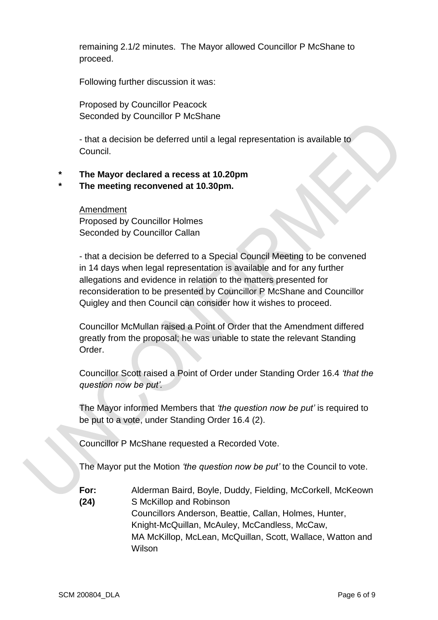remaining 2.1/2 minutes. The Mayor allowed Councillor P McShane to proceed.

Following further discussion it was:

Proposed by Councillor Peacock Seconded by Councillor P McShane

- that a decision be deferred until a legal representation is available to Council.

#### **\* The Mayor declared a recess at 10.20pm**

#### **\* The meeting reconvened at 10.30pm.**

Amendment Proposed by Councillor Holmes Seconded by Councillor Callan

- that a decision be deferred to a Special Council Meeting to be convened in 14 days when legal representation is available and for any further allegations and evidence in relation to the matters presented for reconsideration to be presented by Councillor P McShane and Councillor Quigley and then Council can consider how it wishes to proceed.

Councillor McMullan raised a Point of Order that the Amendment differed greatly from the proposal; he was unable to state the relevant Standing Order.

Councillor Scott raised a Point of Order under Standing Order 16.4 *'that the question now be put'.*

The Mayor informed Members that *'the question now be put'* is required to be put to a vote, under Standing Order 16.4 (2).

Councillor P McShane requested a Recorded Vote.

The Mayor put the Motion *'the question now be put'* to the Council to vote.

**For:** Alderman Baird, Boyle, Duddy, Fielding, McCorkell, McKeown **(24)** S McKillop and Robinson Councillors Anderson, Beattie, Callan, Holmes, Hunter,

Knight-McQuillan, McAuley, McCandless, McCaw, MA McKillop, McLean, McQuillan, Scott, Wallace, Watton and Wilson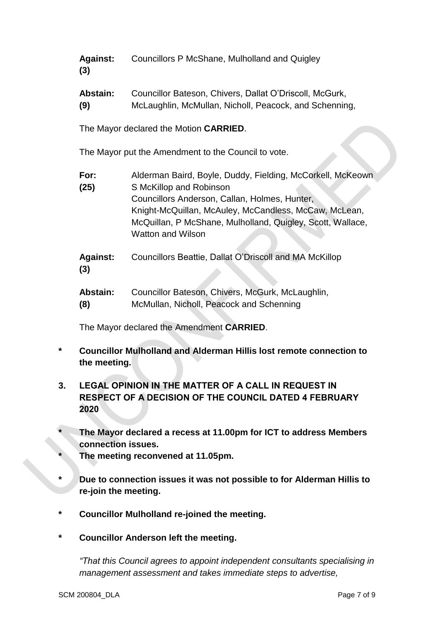| <b>Against:</b> | Councillors P McShane, Mulholland and Quigley |
|-----------------|-----------------------------------------------|
| (3)             |                                               |

**Abstain:** Councillor Bateson, Chivers, Dallat O'Driscoll, McGurk, **(9)** McLaughlin, McMullan, Nicholl, Peacock, and Schenning,

The Mayor declared the Motion **CARRIED**.

The Mayor put the Amendment to the Council to vote.

**For:** Alderman Baird, Boyle, Duddy, Fielding, McCorkell, McKeown **(25)** S McKillop and Robinson Councillors Anderson, Callan, Holmes, Hunter, Knight-McQuillan, McAuley, McCandless, McCaw, McLean, McQuillan, P McShane, Mulholland, Quigley, Scott, Wallace, Watton and Wilson

**Against:** Councillors Beattie, Dallat O'Driscoll and MA McKillop **(3)**

| Abstain: | Councillor Bateson, Chivers, McGurk, McLaughlin, |
|----------|--------------------------------------------------|
| (8)      | McMullan, Nicholl, Peacock and Schenning         |

The Mayor declared the Amendment **CARRIED**.

- **\* Councillor Mulholland and Alderman Hillis lost remote connection to the meeting.**
- **3. LEGAL OPINION IN THE MATTER OF A CALL IN REQUEST IN RESPECT OF A DECISION OF THE COUNCIL DATED 4 FEBRUARY 2020**
- **\* The Mayor declared a recess at 11.00pm for ICT to address Members connection issues.**
- **\* The meeting reconvened at 11.05pm.**
- **\* Due to connection issues it was not possible to for Alderman Hillis to re-join the meeting.**
- **\* Councillor Mulholland re-joined the meeting.**
- **\* Councillor Anderson left the meeting.**

*"That this Council agrees to appoint independent consultants specialising in management assessment and takes immediate steps to advertise,*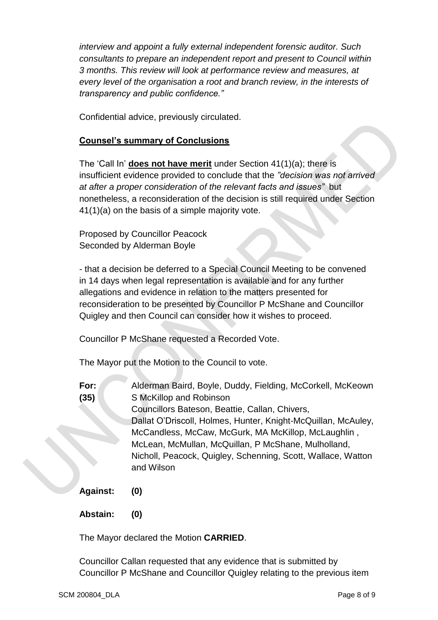*interview and appoint a fully external independent forensic auditor. Such consultants to prepare an independent report and present to Council within 3 months. This review will look at performance review and measures, at every level of the organisation a root and branch review, in the interests of transparency and public confidence."*

Confidential advice, previously circulated.

## **Counsel's summary of Conclusions**

The 'Call In' **does not have merit** under Section 41(1)(a); there is insufficient evidence provided to conclude that the *"decision was not arrived at after a proper consideration of the relevant facts and issues"* but nonetheless, a reconsideration of the decision is still required under Section 41(1)(a) on the basis of a simple majority vote.

Proposed by Councillor Peacock Seconded by Alderman Boyle

- that a decision be deferred to a Special Council Meeting to be convened in 14 days when legal representation is available and for any further allegations and evidence in relation to the matters presented for reconsideration to be presented by Councillor P McShane and Councillor Quigley and then Council can consider how it wishes to proceed.

Councillor P McShane requested a Recorded Vote.

The Mayor put the Motion to the Council to vote.

- **For:** Alderman Baird, Boyle, Duddy, Fielding, McCorkell, McKeown **(35)** S McKillop and Robinson Councillors Bateson, Beattie, Callan, Chivers, Dallat O'Driscoll, Holmes, Hunter, Knight-McQuillan, McAuley, McCandless, McCaw, McGurk, MA McKillop, McLaughlin , McLean, McMullan, McQuillan, P McShane, Mulholland, Nicholl, Peacock, Quigley, Schenning, Scott, Wallace, Watton and Wilson
- **Against: (0)**
- **Abstain: (0)**

The Mayor declared the Motion **CARRIED**.

Councillor Callan requested that any evidence that is submitted by Councillor P McShane and Councillor Quigley relating to the previous item